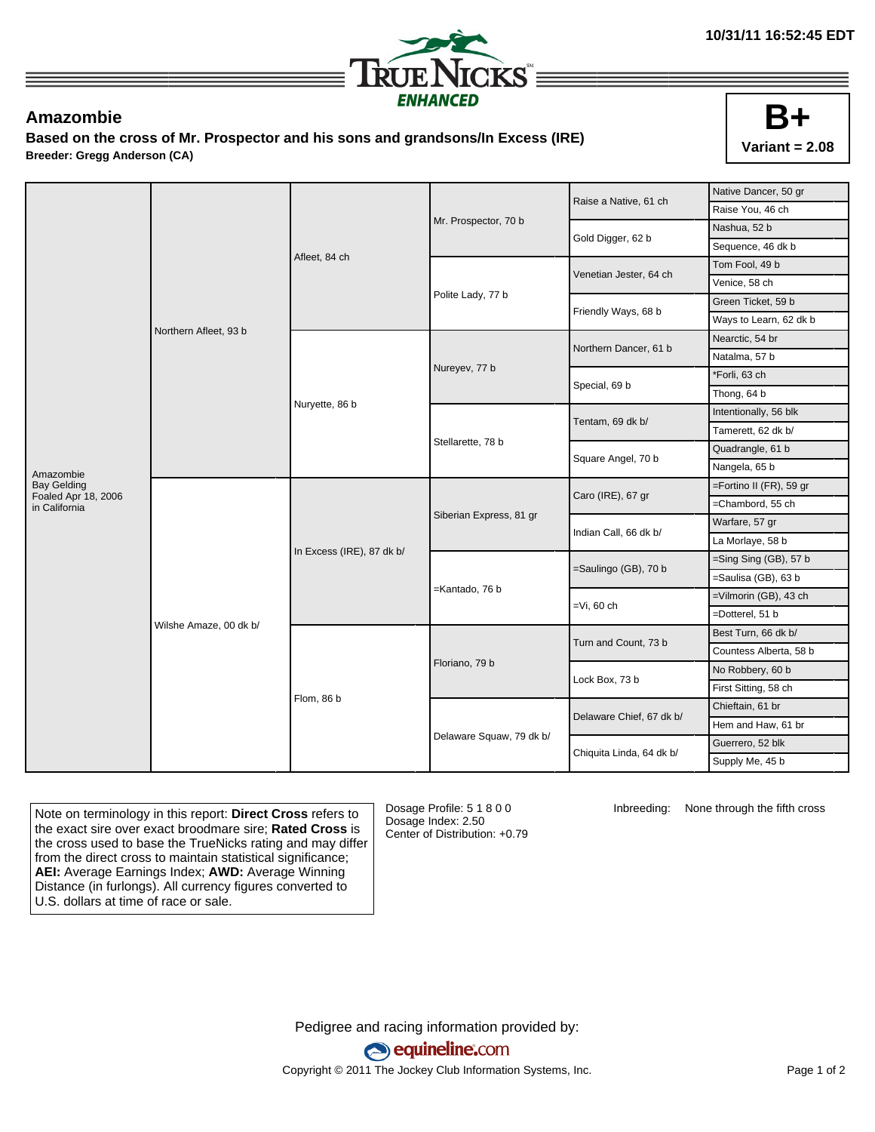

## **Amazombie**

**Based on the cross of Mr. Prospector and his sons and grandsons/In Excess (IRE) Breeder: Gregg Anderson (CA)**



|                                           | Northern Afleet, 93 b  | Afleet, 84 ch             |                          | Raise a Native, 61 ch    | Native Dancer, 50 gr    |
|-------------------------------------------|------------------------|---------------------------|--------------------------|--------------------------|-------------------------|
|                                           |                        |                           |                          |                          | Raise You, 46 ch        |
|                                           |                        |                           | Mr. Prospector, 70 b     | Gold Digger, 62 b        | Nashua, 52 b            |
|                                           |                        |                           |                          |                          | Sequence, 46 dk b       |
|                                           |                        |                           | Polite Lady, 77 b        | Venetian Jester, 64 ch   | Tom Fool, 49 b          |
|                                           |                        |                           |                          |                          | Venice, 58 ch           |
|                                           |                        |                           |                          | Friendly Ways, 68 b      | Green Ticket, 59 b      |
|                                           |                        |                           |                          |                          | Ways to Learn, 62 dk b  |
|                                           |                        | Nuryette, 86 b            | Nureyev, 77 b            | Northern Dancer, 61 b    | Nearctic, 54 br         |
|                                           |                        |                           |                          |                          | Natalma, 57 b           |
|                                           |                        |                           |                          | Special, 69 b            | *Forli, 63 ch           |
|                                           |                        |                           |                          |                          | Thong, 64 b             |
|                                           |                        |                           | Stellarette, 78 b        | Tentam, 69 dk b/         | Intentionally, 56 blk   |
|                                           |                        |                           |                          |                          | Tamerett, 62 dk b/      |
|                                           |                        |                           |                          | Square Angel, 70 b       | Quadrangle, 61 b        |
| Amazombie                                 |                        |                           |                          |                          | Nangela, 65 b           |
| <b>Bay Gelding</b><br>Foaled Apr 18, 2006 | Wilshe Amaze, 00 dk b/ | In Excess (IRE), 87 dk b/ | Siberian Express, 81 gr  | Caro (IRE), 67 gr        | =Fortino II (FR), 59 gr |
| in California                             |                        |                           |                          |                          | =Chambord, 55 ch        |
|                                           |                        |                           |                          | Indian Call, 66 dk b/    | Warfare, 57 gr          |
|                                           |                        |                           |                          |                          | La Morlaye, 58 b        |
|                                           |                        |                           | =Kantado, 76 b           | =Saulingo (GB), 70 b     | =Sing Sing (GB), 57 b   |
|                                           |                        |                           |                          |                          | =Saulisa (GB), 63 b     |
|                                           |                        |                           |                          | $=Vi$ , 60 ch            | =Vilmorin (GB), 43 ch   |
|                                           |                        |                           |                          |                          | =Dotterel, 51 b         |
|                                           |                        | Flom, 86 b                | Floriano, 79 b           | Turn and Count, 73 b     | Best Turn, 66 dk b/     |
|                                           |                        |                           |                          |                          | Countess Alberta, 58 b  |
|                                           |                        |                           |                          | Lock Box, 73 b           | No Robbery, 60 b        |
|                                           |                        |                           |                          |                          | First Sitting, 58 ch    |
|                                           |                        |                           | Delaware Squaw, 79 dk b/ | Delaware Chief, 67 dk b/ | Chieftain, 61 br        |
|                                           |                        |                           |                          |                          | Hem and Haw, 61 br      |
|                                           |                        |                           |                          | Chiquita Linda, 64 dk b/ | Guerrero, 52 blk        |
|                                           |                        |                           |                          |                          | Supply Me, 45 b         |

Note on terminology in this report: **Direct Cross** refers to the exact sire over exact broodmare sire; **Rated Cross** is the cross used to base the TrueNicks rating and may differ from the direct cross to maintain statistical significance; **AEI:** Average Earnings Index; **AWD:** Average Winning Distance (in furlongs). All currency figures converted to U.S. dollars at time of race or sale.

Dosage Profile: 5 1 8 0 0 Dosage Index: 2.50 Center of Distribution: +0.79

Inbreeding: None through the fifth cross

Pedigree and racing information provided by: equineline.com Copyright © 2011 The Jockey Club Information Systems, Inc. example 2012 Page 1 of 2